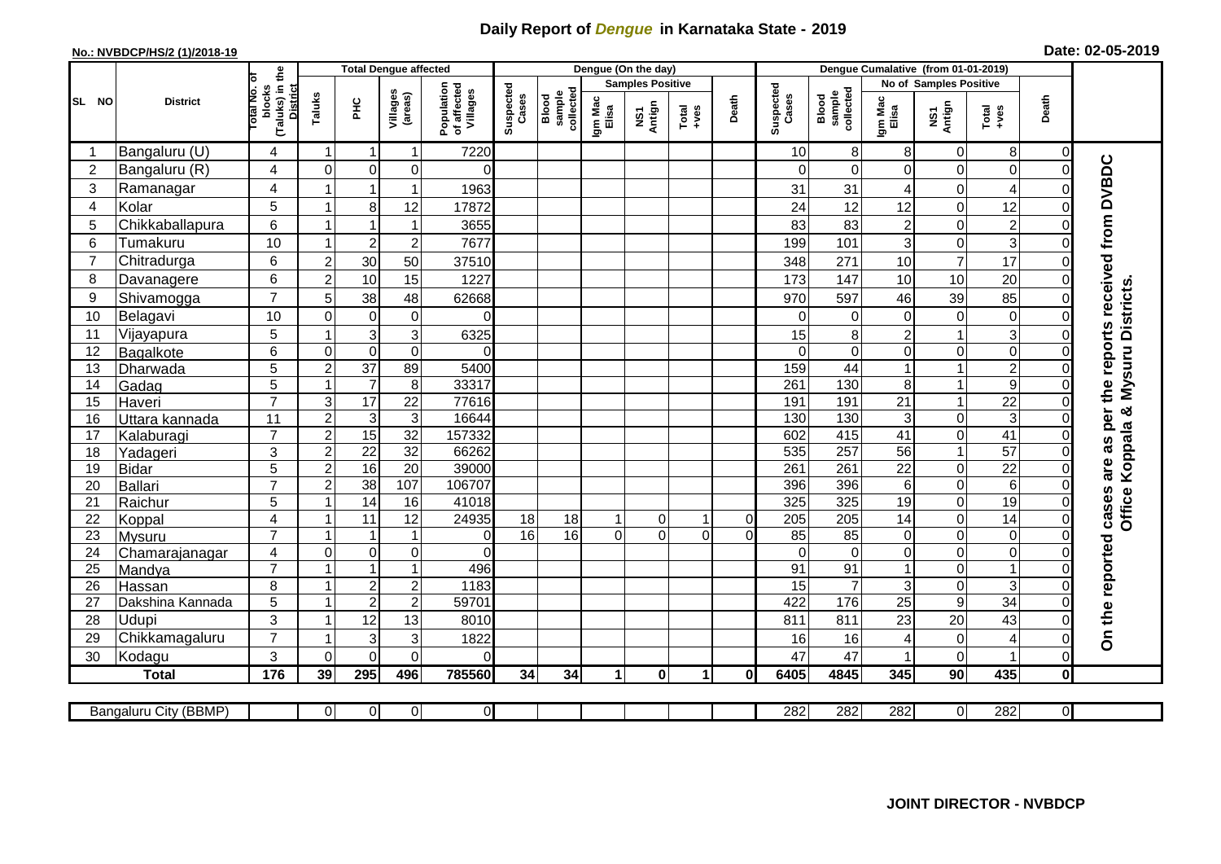## **Daily Report of** *Dengue* **in Karnataka State - 2019**

## **No.: NVBDCP/HS/2 (1)/2018-19 Date: 02-05-2019**

|                |                       |                                                       |                           | <b>Total Dengue affected</b> |                     |                                       |                    |                              |                  | Dengue (On the day)     |                      |             |                    |                              |                  |                        |                  |                |                                            |
|----------------|-----------------------|-------------------------------------------------------|---------------------------|------------------------------|---------------------|---------------------------------------|--------------------|------------------------------|------------------|-------------------------|----------------------|-------------|--------------------|------------------------------|------------------|------------------------|------------------|----------------|--------------------------------------------|
|                |                       |                                                       |                           |                              |                     |                                       |                    |                              |                  | <b>Samples Positive</b> |                      |             |                    |                              |                  | No of Samples Positive |                  |                |                                            |
| SL NO          | <b>District</b>       | (Taluks) in the<br>District<br>lotal No. ol<br>blocks | Taluks                    | ΞÉ                           | Villages<br>(areas) | Population<br>of affected<br>Villages | Suspected<br>Cases | sample<br>collected<br>Blood | Igm Mac<br>Elisa | NS1<br>Antign           | $Tota$<br>$+ves$     | Death       | Suspected<br>Cases | collected<br>sample<br>Blood | Igm Mac<br>Elisa | NS1<br>Antign          | $Tota$<br>$+ves$ | Death          |                                            |
|                | Bangaluru (U)         | 4                                                     | $\overline{1}$            | -1                           | $\mathbf{1}$        | 7220                                  |                    |                              |                  |                         |                      |             | 10                 | 8                            | 8                | $\mathbf 0$            | $\bf 8$          | $\mathbf 0$    |                                            |
| $\overline{2}$ | Bangaluru (R)         | 4                                                     | $\Omega$                  | $\mathbf 0$                  | 0                   | $\Omega$                              |                    |                              |                  |                         |                      |             | $\Omega$           | $\Omega$                     | $\Omega$         | 0                      | $\overline{0}$   | $\mathbf 0$    |                                            |
| 3              | Ramanagar             | 4                                                     |                           | $\mathbf 1$                  | $\mathbf{1}$        | 1963                                  |                    |                              |                  |                         |                      |             | 31                 | 31                           | 4                | 0                      | 4                | $\Omega$       | are as per the reports received from DVBDC |
| 4              | Kolar                 | 5                                                     | 1                         | 8                            | 12                  | 17872                                 |                    |                              |                  |                         |                      |             | 24                 | 12                           | 12               | 0                      | 12               | $\Omega$       |                                            |
| 5              | Chikkaballapura       | 6                                                     | $\mathbf{1}$              | $\overline{1}$               | $\mathbf{1}$        | 3655                                  |                    |                              |                  |                         |                      |             | 83                 | 83                           | $\overline{c}$   | 0                      | $\overline{c}$   | $\mathbf 0$    |                                            |
| 6              | Tumakuru              | 10                                                    | -1                        | $\overline{2}$               | $\boldsymbol{2}$    | 7677                                  |                    |                              |                  |                         |                      |             | 199                | 101                          | 3                | 0                      | 3                | $\mathbf 0$    |                                            |
| 7              | Chitradurga           | 6                                                     | $\overline{2}$            | 30                           | 50                  | 37510                                 |                    |                              |                  |                         |                      |             | 348                | 271                          | 10               | $\overline{7}$         | 17               | $\mathbf 0$    |                                            |
| 8              | Davanagere            | 6                                                     | $\overline{2}$            | 10                           | 15                  | 1227                                  |                    |                              |                  |                         |                      |             | 173                | 147                          | 10               | 10                     | 20               | $\mathbf 0$    |                                            |
| 9              | Shivamogga            | $\overline{7}$                                        | 5                         | 38                           | 48                  | 62668                                 |                    |                              |                  |                         |                      |             | 970                | 597                          | 46               | 39                     | 85               | $\Omega$       | Mysuru Districts.                          |
| 10             | Belagavi              | 10                                                    | $\Omega$                  | $\mathbf 0$                  | $\pmb{0}$           | $\Omega$                              |                    |                              |                  |                         |                      |             | 0                  | $\Omega$                     | $\mathbf 0$      | $\boldsymbol{0}$       | $\mathbf 0$      | $\Omega$       |                                            |
| 11             | Vijayapura            | 5                                                     |                           | $\mathsf 3$                  | $\overline{3}$      | 6325                                  |                    |                              |                  |                         |                      |             | 15                 | 8                            | $\overline{c}$   | $\overline{1}$         | 3                | $\mathbf 0$    |                                            |
| 12             | Bagalkote             | 6                                                     | $\Omega$                  | $\mathbf 0$                  | $\overline{0}$      | $\Omega$                              |                    |                              |                  |                         |                      |             | $\Omega$           | $\Omega$                     | $\Omega$         | 0                      | 0                | $\Omega$       |                                            |
| 13             | Dharwada              | 5                                                     | $\boldsymbol{2}$          | 37                           | 89                  | 5400                                  |                    |                              |                  |                         |                      |             | 159                | 44                           |                  | $\mathbf{1}$           | $\overline{2}$   | $\Omega$       |                                            |
| 14             | Gadag                 | 5                                                     | $\mathbf{1}$              | $\overline{7}$               | $\overline{8}$      | 33317                                 |                    |                              |                  |                         |                      |             | 261                | 130                          | 8                | $\mathbf{1}$           | 9                | $\mathbf 0$    |                                            |
| 15             | Haveri                | $\overline{7}$                                        | $\ensuremath{\mathsf{3}}$ | $\overline{17}$              | $\overline{22}$     | 77616                                 |                    |                              |                  |                         |                      |             | 191                | 191                          | 21               | $\mathbf{1}$           | $\overline{22}$  | $\mathbf 0$    | න්                                         |
| 16             | Uttara kannada        | 11                                                    | $\overline{c}$            | $\sqrt{3}$                   | $\mathbf{3}$        | 16644                                 |                    |                              |                  |                         |                      |             | 130                | 130                          | 3                | 0                      | $\mathbf{3}$     | $\mathbf 0$    |                                            |
| 17             | Kalaburagi            | $\overline{7}$                                        | $\overline{2}$            | 15                           | 32                  | 157332                                |                    |                              |                  |                         |                      |             | 602                | 415                          | 41               | $\overline{0}$         | 41               | $\Omega$       |                                            |
| 18             | Yadageri              | 3                                                     | $\overline{c}$            | 22                           | 32                  | 66262                                 |                    |                              |                  |                         |                      |             | 535                | 257                          | 56               | $\mathbf{1}$           | 57               | $\Omega$       | Koppala                                    |
| 19             | <b>Bidar</b>          | $\overline{5}$                                        | $\overline{2}$            | 16                           | $\overline{20}$     | 39000                                 |                    |                              |                  |                         |                      |             | 261                | 261                          | $\overline{22}$  | 0                      | $\overline{22}$  | $\Omega$       |                                            |
| 20             | Ballari               | $\overline{7}$                                        | $\overline{2}$            | 38                           | 107                 | 106707                                |                    |                              |                  |                         |                      |             | 396                | 396                          | 6                | 0                      | $\,6$            | 0              |                                            |
| 21             | Raichur               | 5                                                     | $\overline{ }$            | 14                           | 16                  | 41018                                 |                    |                              |                  |                         |                      |             | 325                | 325                          | $\overline{19}$  | 0                      | 19               | $\mathbf 0$    | cases<br>Office                            |
| 22             | Koppal                | $\overline{\mathbf{4}}$                               | -1                        | 11                           | 12                  | 24935                                 | 18                 | 18                           |                  | 0                       | $\mathbf 1$          | 0           | 205                | 205                          | 14               | 0                      | 14               | $\mathbf 0$    |                                            |
| 23             | Mysuru                | $\overline{7}$                                        | 1                         | $\overline{1}$               | $\mathbf{1}$        | $\Omega$                              | $\overline{16}$    | 16                           | $\Omega$         | $\Omega$                | $\Omega$             | $\mathbf 0$ | 85                 | $\overline{85}$              | $\mathbf 0$      | 0                      | 0                | $\mathbf 0$    |                                            |
| 24             | Chamarajanagar        | 4                                                     | $\mathbf 0$               | $\mathbf 0$                  | $\overline{0}$      | $\Omega$                              |                    |                              |                  |                         |                      |             | $\Omega$           | $\mathbf 0$                  | 0                | 0                      | $\overline{0}$   | 0              |                                            |
| 25             | Mandya                | $\overline{7}$                                        | $\overline{1}$            | $\overline{1}$               | $\mathbf{1}$        | 496                                   |                    |                              |                  |                         |                      |             | 91                 | 91                           |                  | 0                      | $\mathbf{1}$     | $\mathbf 0$    |                                            |
| 26             | Hassan                | 8                                                     | $\overline{1}$            | $\sqrt{2}$                   | $\boldsymbol{2}$    | 1183                                  |                    |                              |                  |                         |                      |             | 15                 | $\overline{7}$               | 3                | 0                      | ც                | $\overline{0}$ |                                            |
| 27             | Dakshina Kannada      | 5                                                     | $\mathbf{1}$              | $\overline{2}$               | $\overline{2}$      | 59701                                 |                    |                              |                  |                         |                      |             | 422                | 176                          | 25               | $\boldsymbol{9}$       | $\overline{34}$  | $\mathbf 0$    |                                            |
| 28             | Udupi                 | 3<br>$\overline{7}$                                   | -1                        | 12                           | 13                  | 8010                                  |                    |                              |                  |                         |                      |             | 811                | 811                          | 23               | 20                     | 43               | $\Omega$       | On the reported                            |
| 29             | Chikkamagaluru        |                                                       | -1                        | 3                            | 3                   | 1822                                  |                    |                              |                  |                         |                      |             | 16                 | 16                           | 4                | 0                      | 4                | $\mathbf 0$    |                                            |
| 30             | Kodagu                | 3                                                     | $\Omega$                  | $\mathbf 0$                  | $\mathbf 0$         | $\Omega$                              |                    |                              |                  |                         |                      |             | 47                 | 47                           |                  | 0                      | $\mathbf{1}$     | $\mathbf 0$    |                                            |
|                | <b>Total</b>          | 176                                                   | 39                        | 295                          | 496                 | 785560                                | 34                 | 34                           | $\mathbf{1}$     | $\mathbf{0}$            | $\blacktriangleleft$ | 0           | 6405               | 4845                         | 345              | 90                     | 435              | $\mathbf 0$    |                                            |
|                |                       |                                                       |                           |                              |                     |                                       |                    |                              |                  |                         |                      |             |                    |                              |                  |                        |                  |                |                                            |
|                | Bangaluru City (BBMP) |                                                       | $\Omega$                  | $\overline{0}$               | $\overline{0}$      | $\overline{0}$                        |                    |                              |                  |                         |                      |             | 282                | 282                          | 282              | $\overline{0}$         | 282              | $\overline{0}$ |                                            |